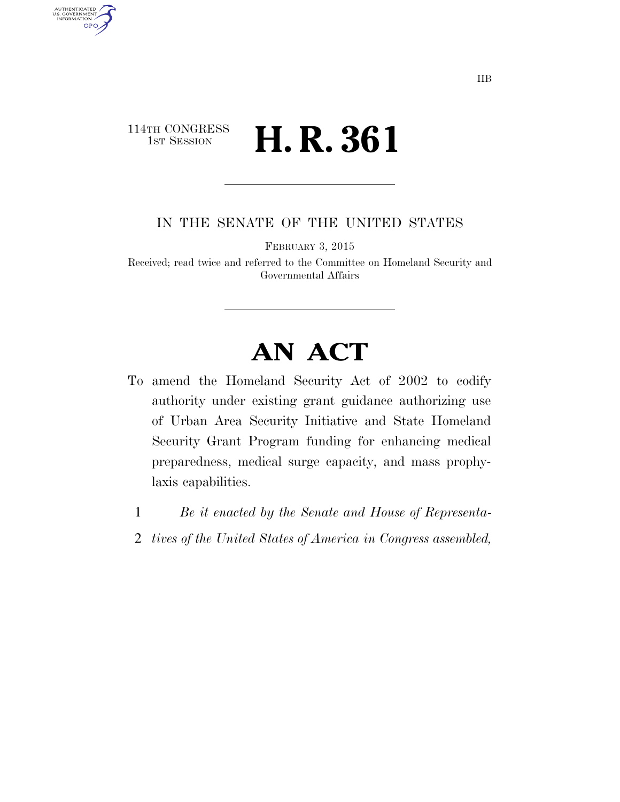## 114TH CONGRESS 1st Session **H. R. 361**

AUTHENTICATED<br>U.S. GOVERNMENT<br>INFORMATION GPO

IN THE SENATE OF THE UNITED STATES

FEBRUARY 3, 2015

Received; read twice and referred to the Committee on Homeland Security and Governmental Affairs

## **AN ACT**

- To amend the Homeland Security Act of 2002 to codify authority under existing grant guidance authorizing use of Urban Area Security Initiative and State Homeland Security Grant Program funding for enhancing medical preparedness, medical surge capacity, and mass prophylaxis capabilities.
	- 1 *Be it enacted by the Senate and House of Representa-*
	- 2 *tives of the United States of America in Congress assembled,*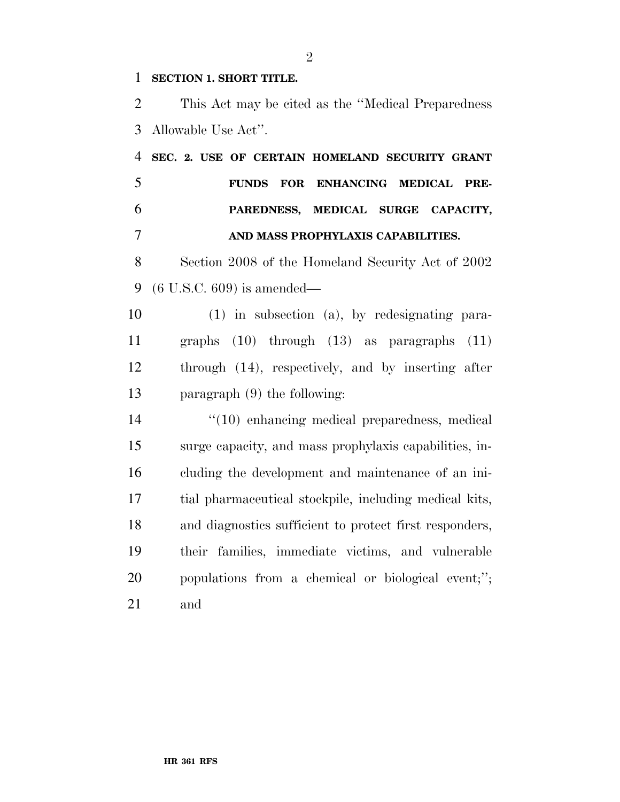## **SECTION 1. SHORT TITLE.**

 This Act may be cited as the ''Medical Preparedness Allowable Use Act''.

 **SEC. 2. USE OF CERTAIN HOMELAND SECURITY GRANT FUNDS FOR ENHANCING MEDICAL PRE- PAREDNESS, MEDICAL SURGE CAPACITY, AND MASS PROPHYLAXIS CAPABILITIES.** 

 Section 2008 of the Homeland Security Act of 2002 (6 U.S.C. 609) is amended—

 (1) in subsection (a), by redesignating para- graphs (10) through (13) as paragraphs (11) through (14), respectively, and by inserting after paragraph (9) the following:

 $\frac{1}{2}$  (10) enhancing medical preparedness, medical surge capacity, and mass prophylaxis capabilities, in- cluding the development and maintenance of an ini- tial pharmaceutical stockpile, including medical kits, and diagnostics sufficient to protect first responders, their families, immediate victims, and vulnerable populations from a chemical or biological event;''; and